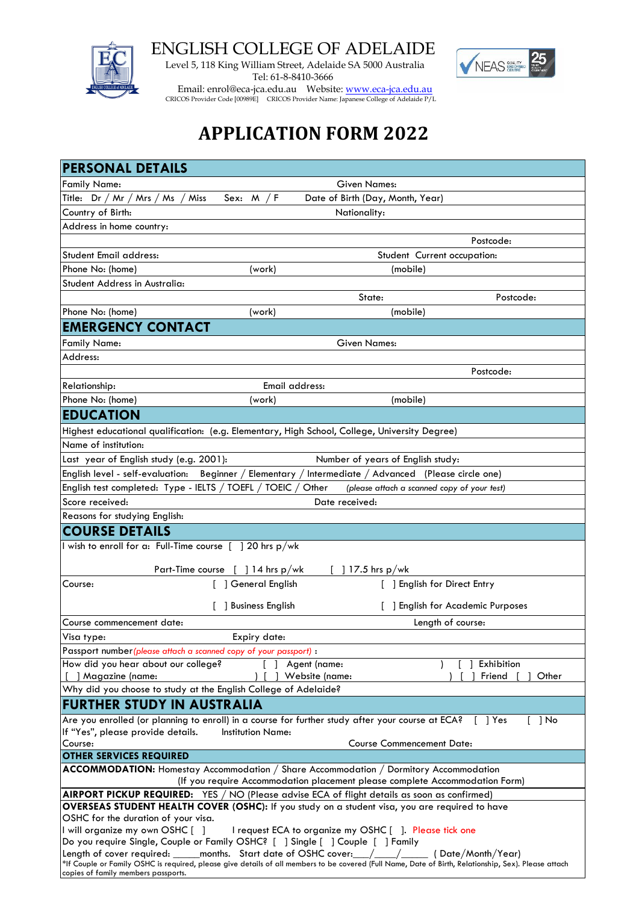

ENGLISH COLLEGE OF ADELAIDE

 Level 5, 118 King William Street, Adelaide SA 5000 Australia Tel: 61-8-8410-3666



Email: enrol@eca-jca.edu.au Website: <u>www.eca-jca.edu.au</u> CRICOS Provider Code [00989E] CRICOS Provider Name: Japanese College of Adelaide P/L

# **APPLICATION FORM 2022**

| <b>PERSONAL DETAILS</b>                                                                                                                                                             |                                                            |                                                      |                                   |  |
|-------------------------------------------------------------------------------------------------------------------------------------------------------------------------------------|------------------------------------------------------------|------------------------------------------------------|-----------------------------------|--|
| <b>Family Name:</b>                                                                                                                                                                 |                                                            | <b>Given Names:</b>                                  |                                   |  |
| Title: $Dr / Mr / Mrs / Ms$                                                                                                                                                         | / Miss<br>Sex: $M / F$<br>Date of Birth (Day, Month, Year) |                                                      |                                   |  |
| Country of Birth:                                                                                                                                                                   |                                                            | Nationality:                                         |                                   |  |
| Address in home country:                                                                                                                                                            |                                                            |                                                      |                                   |  |
|                                                                                                                                                                                     |                                                            |                                                      | Postcode:                         |  |
| Student Email address:                                                                                                                                                              |                                                            | Student Current occupation:                          |                                   |  |
| Phone No: (home)                                                                                                                                                                    | (work)                                                     | (mobile)                                             |                                   |  |
| Student Address in Australia:                                                                                                                                                       |                                                            |                                                      |                                   |  |
|                                                                                                                                                                                     |                                                            | State:                                               | Postcode:                         |  |
| Phone No: (home)                                                                                                                                                                    | (work)                                                     | (mobile)                                             |                                   |  |
| <b>EMERGENCY CONTACT</b>                                                                                                                                                            |                                                            |                                                      |                                   |  |
| <b>Family Name:</b>                                                                                                                                                                 |                                                            | <b>Given Names:</b>                                  |                                   |  |
| Address:                                                                                                                                                                            |                                                            |                                                      |                                   |  |
|                                                                                                                                                                                     |                                                            |                                                      | Postcode:                         |  |
| Relationship:                                                                                                                                                                       | Email address:                                             |                                                      |                                   |  |
| Phone No: (home)                                                                                                                                                                    | (work)                                                     | (mobile)                                             |                                   |  |
| <b>EDUCATION</b>                                                                                                                                                                    |                                                            |                                                      |                                   |  |
| Highest educational qualification: (e.g. Elementary, High School, College, University Degree)                                                                                       |                                                            |                                                      |                                   |  |
| Name of institution:                                                                                                                                                                |                                                            |                                                      |                                   |  |
| Last year of English study (e.g. 2001):                                                                                                                                             |                                                            | Number of years of English study:                    |                                   |  |
| English level - self-evaluation:                                                                                                                                                    | Beginner / Elementary /                                    | Intermediate / Advanced (Please circle one)          |                                   |  |
| English test completed: Type - IELTS / TOEFL / TOEIC /                                                                                                                              |                                                            | Other<br>(please attach a scanned copy of your test) |                                   |  |
| Score received:                                                                                                                                                                     |                                                            | Date received:                                       |                                   |  |
| Reasons for studying English:                                                                                                                                                       |                                                            |                                                      |                                   |  |
| <b>COURSE DETAILS</b>                                                                                                                                                               |                                                            |                                                      |                                   |  |
| I wish to enroll for a: Full-Time course [1] 20 hrs p/wk                                                                                                                            |                                                            |                                                      |                                   |  |
| Part-Time course [ ] 14 hrs p/wk<br>$]$ 17.5 hrs p/wk                                                                                                                               |                                                            |                                                      |                                   |  |
| Course:                                                                                                                                                                             | ] General English                                          | [ ] English for Direct Entry                         |                                   |  |
|                                                                                                                                                                                     |                                                            |                                                      | [ ] English for Academic Purposes |  |
|                                                                                                                                                                                     | ] Business English                                         |                                                      |                                   |  |
| Course commencement date:                                                                                                                                                           |                                                            |                                                      | Length of course:                 |  |
| Visa type:                                                                                                                                                                          | Expiry date:                                               |                                                      |                                   |  |
| Passport number (please attach a scanned copy of your passport) :<br>How did you hear about our college?                                                                            |                                                            | Agent (name:                                         | Exhibition                        |  |
| [ ] Magazine (name:                                                                                                                                                                 |                                                            | Website (name:                                       | Friend<br>1 Other                 |  |
| Why did you choose to study at the English College of Adelaide?                                                                                                                     |                                                            |                                                      |                                   |  |
| FURTHER STUDY IN AUSTRALIA                                                                                                                                                          |                                                            |                                                      |                                   |  |
| Are you enrolled (or planning to enroll) in a course for further study after your course at ECA? [ ] Yes                                                                            |                                                            |                                                      | $[$ ] No                          |  |
| If "Yes", please provide details.                                                                                                                                                   | <b>Institution Name:</b>                                   |                                                      |                                   |  |
| Course:                                                                                                                                                                             |                                                            | <b>Course Commencement Date:</b>                     |                                   |  |
| <b>OTHER SERVICES REQUIRED</b>                                                                                                                                                      |                                                            |                                                      |                                   |  |
| ACCOMMODATION: Homestay Accommodation / Share Accommodation / Dormitory Accommodation<br>(If you require Accommodation placement please complete Accommodation Form)                |                                                            |                                                      |                                   |  |
| AIRPORT PICKUP REQUIRED: YES / NO (Please advise ECA of flight details as soon as confirmed)                                                                                        |                                                            |                                                      |                                   |  |
| OVERSEAS STUDENT HEALTH COVER (OSHC): If you study on a student visa, you are required to have                                                                                      |                                                            |                                                      |                                   |  |
| OSHC for the duration of your visa.                                                                                                                                                 |                                                            |                                                      |                                   |  |
| I will organize my own OSHC []<br>I request ECA to organize my OSHC []. Please tick one                                                                                             |                                                            |                                                      |                                   |  |
| Do you require Single, Couple or Family OSHC? [ ] Single [ ] Couple [ ] Family<br>Length of cover required: _____months. Start date of OSHC cover:___/____/______( Date/Month/Year) |                                                            |                                                      |                                   |  |
| *If Couple or Family OSHC is required, please give details of all members to be covered (Full Name, Date of Birth, Relationship, Sex). Please attach                                |                                                            |                                                      |                                   |  |
| copies of family members passports.                                                                                                                                                 |                                                            |                                                      |                                   |  |